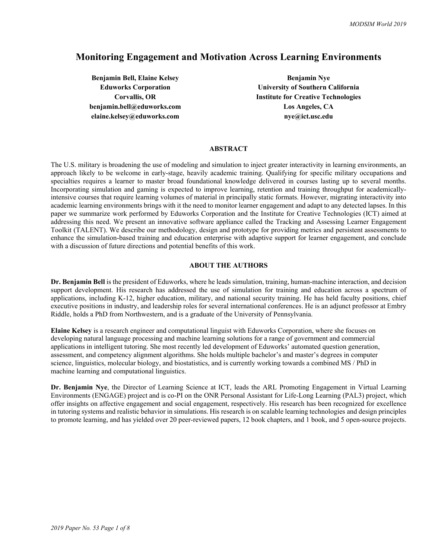# **Monitoring Engagement and Motivation Across Learning Environments**

**Benjamin Bell, Elaine Kelsey <b>Benjamin Nye Benjamin Nye benjamin.bell@eduworks.com** Los Angeles, CA elaine.kelsey@eduworks.com nye@ict.usc.edu

**Eduworks Corporation University of Southern California Corvallis, OR Institute for Creative Technologies** 

## **ABSTRACT**

The U.S. military is broadening the use of modeling and simulation to inject greater interactivity in learning environments, an approach likely to be welcome in early-stage, heavily academic training. Qualifying for specific military occupations and specialties requires a learner to master broad foundational knowledge delivered in courses lasting up to several months. Incorporating simulation and gaming is expected to improve learning, retention and training throughput for academicallyintensive courses that require learning volumes of material in principally static formats. However, migrating interactivity into academic learning environments brings with it the need to monitor learner engagement and adapt to any detected lapses. In this paper we summarize work performed by Eduworks Corporation and the Institute for Creative Technologies (ICT) aimed at addressing this need. We present an innovative software appliance called the Tracking and Assessing Learner Engagement Toolkit (TALENT). We describe our methodology, design and prototype for providing metrics and persistent assessments to enhance the simulation-based training and education enterprise with adaptive support for learner engagement, and conclude with a discussion of future directions and potential benefits of this work.

#### **ABOUT THE AUTHORS**

**Dr. Benjamin Bell** is the president of Eduworks, where he leads simulation, training, human-machine interaction, and decision support development. His research has addressed the use of simulation for training and education across a spectrum of applications, including K-12, higher education, military, and national security training. He has held faculty positions, chief executive positions in industry, and leadership roles for several international conferences. He is an adjunct professor at Embry Riddle, holds a PhD from Northwestern, and is a graduate of the University of Pennsylvania.

**Elaine Kelsey** is a research engineer and computational linguist with Eduworks Corporation, where she focuses on developing natural language processing and machine learning solutions for a range of government and commercial applications in intelligent tutoring. She most recently led development of Eduworks' automated question generation, assessment, and competency alignment algorithms. She holds multiple bachelor's and master's degrees in computer science, linguistics, molecular biology, and biostatistics, and is currently working towards a combined MS / PhD in machine learning and computational linguistics.

**Dr. Benjamin Nye**, the Director of Learning Science at ICT, leads the ARL Promoting Engagement in Virtual Learning Environments (ENGAGE) project and is co-PI on the ONR Personal Assistant for Life-Long Learning (PAL3) project, which offer insights on affective engagement and social engagement, respectively. His research has been recognized for excellence in tutoring systems and realistic behavior in simulations. His research is on scalable learning technologies and design principles to promote learning, and has yielded over 20 peer-reviewed papers, 12 book chapters, and 1 book, and 5 open-source projects.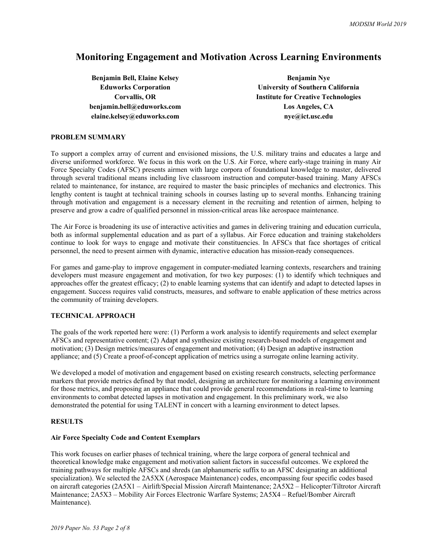# **Monitoring Engagement and Motivation Across Learning Environments**

**Benjamin Bell, Elaine Kelsey <b>Benjamin Nye Benjamin Nye benjamin.bell@eduworks.com** Los Angeles, CA elaine.kelsey@eduworks.com nye@ict.usc.edu

**Eduworks Corporation University of Southern California Corvallis, OR Institute for Creative Technologies** 

### **PROBLEM SUMMARY**

To support a complex array of current and envisioned missions, the U.S. military trains and educates a large and diverse uniformed workforce. We focus in this work on the U.S. Air Force, where early-stage training in many Air Force Specialty Codes (AFSC) presents airmen with large corpora of foundational knowledge to master, delivered through several traditional means including live classroom instruction and computer-based training. Many AFSCs related to maintenance, for instance, are required to master the basic principles of mechanics and electronics. This lengthy content is taught at technical training schools in courses lasting up to several months. Enhancing training through motivation and engagement is a necessary element in the recruiting and retention of airmen, helping to preserve and grow a cadre of qualified personnel in mission-critical areas like aerospace maintenance.

The Air Force is broadening its use of interactive activities and games in delivering training and education curricula, both as informal supplemental education and as part of a syllabus. Air Force education and training stakeholders continue to look for ways to engage and motivate their constituencies. In AFSCs that face shortages of critical personnel, the need to present airmen with dynamic, interactive education has mission-ready consequences.

For games and game-play to improve engagement in computer-mediated learning contexts, researchers and training developers must measure engagement and motivation, for two key purposes: (1) to identify which techniques and approaches offer the greatest efficacy; (2) to enable learning systems that can identify and adapt to detected lapses in engagement. Success requires valid constructs, measures, and software to enable application of these metrics across the community of training developers.

## **TECHNICAL APPROACH**

The goals of the work reported here were: (1) Perform a work analysis to identify requirements and select exemplar AFSCs and representative content; (2) Adapt and synthesize existing research-based models of engagement and motivation; (3) Design metrics/measures of engagement and motivation; (4) Design an adaptive instruction appliance; and (5) Create a proof-of-concept application of metrics using a surrogate online learning activity.

We developed a model of motivation and engagement based on existing research constructs, selecting performance markers that provide metrics defined by that model, designing an architecture for monitoring a learning environment for those metrics, and proposing an appliance that could provide general recommendations in real-time to learning environments to combat detected lapses in motivation and engagement. In this preliminary work, we also demonstrated the potential for using TALENT in concert with a learning environment to detect lapses.

#### **RESULTS**

#### **Air Force Specialty Code and Content Exemplars**

This work focuses on earlier phases of technical training, where the large corpora of general technical and theoretical knowledge make engagement and motivation salient factors in successful outcomes. We explored the training pathways for multiple AFSCs and shreds (an alphanumeric suffix to an AFSC designating an additional specialization). We selected the 2A5XX (Aerospace Maintenance) codes, encompassing four specific codes based on aircraft categories (2A5X1 – Airlift/Special Mission Aircraft Maintenance; 2A5X2 – Helicopter/Tiltrotor Aircraft Maintenance; 2A5X3 – Mobility Air Forces Electronic Warfare Systems; 2A5X4 – Refuel/Bomber Aircraft Maintenance).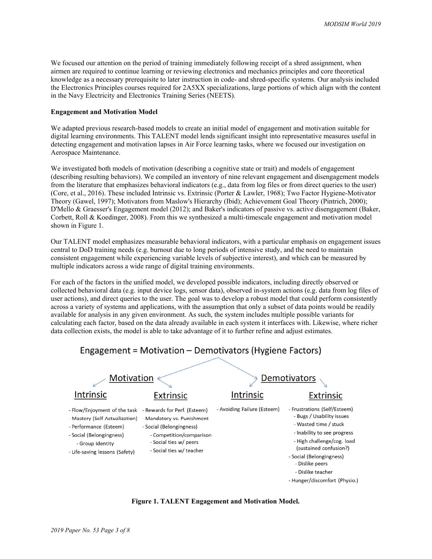We focused our attention on the period of training immediately following receipt of a shred assignment, when airmen are required to continue learning or reviewing electronics and mechanics principles and core theoretical knowledge as a necessary prerequisite to later instruction in code- and shred-specific systems. Our analysis included the Electronics Principles courses required for 2A5XX specializations, large portions of which align with the content in the Navy Electricity and Electronics Training Series (NEETS).

### **Engagement and Motivation Model**

We adapted previous research-based models to create an initial model of engagement and motivation suitable for digital learning environments. This TALENT model lends significant insight into representative measures useful in detecting engagement and motivation lapses in Air Force learning tasks, where we focused our investigation on Aerospace Maintenance.

We investigated both models of motivation (describing a cognitive state or trait) and models of engagement (describing resulting behaviors). We compiled an inventory of nine relevant engagement and disengagement models from the literature that emphasizes behavioral indicators (e.g., data from log files or from direct queries to the user) (Core, et al., 2016). These included Intrinsic vs. Extrinsic (Porter & Lawler, 1968); Two Factor Hygiene-Motivator Theory (Gawel, 1997); Motivators from Maslow's Hierarchy (Ibid); Achievement Goal Theory (Pintrich, 2000); D'Mello & Graesser's Engagement model (2012); and Baker's indicators of passive vs. active disengagement (Baker, Corbett, Roll & Koedinger, 2008). From this we synthesized a multi-timescale engagement and motivation model shown in Figure 1.

Our TALENT model emphasizes measurable behavioral indicators, with a particular emphasis on engagement issues central to DoD training needs (e.g. burnout due to long periods of intensive study, and the need to maintain consistent engagement while experiencing variable levels of subjective interest), and which can be measured by multiple indicators across a wide range of digital training environments.

For each of the factors in the unified model, we developed possible indicators, including directly observed or collected behavioral data (e.g. input device logs, sensor data), observed in-system actions (e.g. data from log files of user actions), and direct queries to the user. The goal was to develop a robust model that could perform consistently across a variety of systems and applications, with the assumption that only a subset of data points would be readily available for analysis in any given environment. As such, the system includes multiple possible variants for calculating each factor, based on the data already available in each system it interfaces with. Likewise, where richer data collection exists, the model is able to take advantage of it to further refine and adjust estimates.





**Figure 1. TALENT Engagement and Motivation Model.**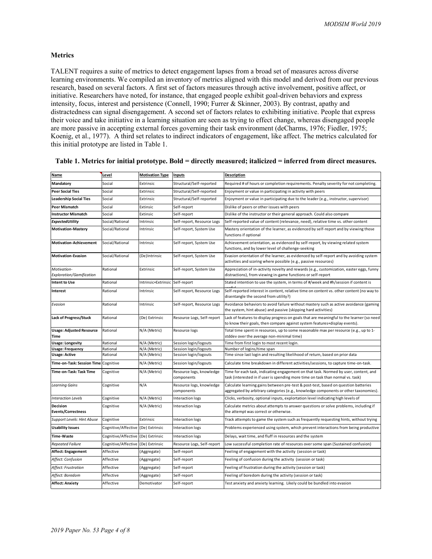#### **Metrics**

TALENT requires a suite of metrics to detect engagement lapses from a broad set of measures across diverse learning environments. We compiled an inventory of metrics aligned with this model and derived from our previous research, based on several factors. A first set of factors measures through active involvement, positive affect, or initiative. Researchers have noted, for instance, that engaged people exhibit goal-driven behaviors and express intensity, focus, interest and persistence (Connell, 1990; Furrer & Skinner, 2003). By contrast, apathy and distractedness can signal disengagement. A second set of factors relates to exhibiting initiative. People that express their voice and take initiative in a learning situation are seen as trying to effect change, whereas disengaged people are more passive in accepting external forces governing their task environment (deCharms, 1976; Fiedler, 1975; Koenig, et al., 1977). A third set relates to indirect indicators of engagement, like affect. The metrics calculated for this initial prototype are listed in Table 1.

| Name                                    | Level                              | <b>Motivation Type</b>          | Inputs                                 | <b>Description</b>                                                                                                                                                         |
|-----------------------------------------|------------------------------------|---------------------------------|----------------------------------------|----------------------------------------------------------------------------------------------------------------------------------------------------------------------------|
| Mandatory                               | Social                             | Extrinsic                       | Structural/Self-reported               | Required # of hours or completion requirements. Penalty severity for not completing.                                                                                       |
| <b>Peer Social Ties</b>                 | Social                             | Extrinsic                       | Structural/Self-reported               | Enjoyment or value in participating in activity with peers                                                                                                                 |
| <b>Leadership Social Ties</b>           | Social                             | Extrinsic                       | Structural/Self-reported               | Enjoyment or value in participating due to the leader (e.g., instructor, supervisor)                                                                                       |
| <b>Peer Mismatch</b>                    | Social                             | Extinsic                        | Self-report                            | Dislike of peers or other issues with peers                                                                                                                                |
| <b>Instructor Mismatch</b>              | Social                             | Extinsic                        | Self-report                            | Dislike of the instructor or their general approach. Could also compare                                                                                                    |
| <b>ExpectedUtility</b>                  | Social/Rational                    | Intrinsic                       | Self-report, Resource Logs             | Self-reported value of content (relevance, need), relative time vs. other content                                                                                          |
| <b>Motivation-Mastery</b>               | Social/Rational                    | Intrinsic                       | Self-report, System Use                | Mastery orientation of the learner, as evidenced by self-report and by viewing those<br>functions if optional                                                              |
| <b>Motivation-Achievement</b>           | Social/Rational                    | Intrinsic                       | Self-report, System Use                | Achievement orientation, as evidenced by self-report, by viewing related system<br>functions, and by lower level of challenge-seeking                                      |
| <b>Motivation-Evasion</b>               | Social/Rational                    | (De)Intrinsic                   | Self-report, System Use                | Evasion orientation of the learner, as evidenced by self-report and by avoiding system<br>activities and scoring where possible (e.g., passive resources)                  |
| Motivation-<br>Exploration/Gamification | Rational                           | Extrinsic                       | Self-report, System Use                | Appreciation of in-activity novelty and rewards (e.g., customization, easter eggs, funny<br>distractions), from viewing in-game functions or self-report                   |
| <b>Intent to Use</b>                    | Rational                           | Intrinsic+Extrinsic Self-report |                                        | Stated intention to use the system, in terms of #/week and #h/session if content is                                                                                        |
| Interest                                | Rational                           | Intrinsic                       | Self-report, Resource Logs             | Self-reported interest in content, relative time on content vs. other content (no way to<br>disentangle the second from utility?)                                          |
| Evasion                                 | Rational                           | Intrinsic                       | Self-report, Resource Logs             | Avoidance behaviors to avoid failure without mastery such as active avoidance (gaming<br>the system, hint abuse) and passive (skipping hard activities)                    |
| <b>Lack of Progress/Stuck</b>           | Rational                           | (De) Extrinsic                  | Resource Logs, Self-report             | Lack of features to display progress on goals that are meaningful to the learner (so need<br>to know their goals, then compare against system features+display events).    |
| <b>Usage: Adjusted Resource</b><br>Time | Rational                           | N/A (Metric)                    | Resource logs                          | Total time spent in resources, up to some reasonable max per resource (e.g., up to 1-<br>stddev over the average non-minimal time)                                         |
| <b>Usage: Longevity</b>                 | Rational                           | N/A (Metric)                    | Session login/logouts                  | Time from first login to most recent login.                                                                                                                                |
| <b>Usage: Frequency</b>                 | Rational                           | N/A (Metric)                    | Session login/logouts                  | Number of logins/time span<br>Time since last login and resulting likelihood of return, based on prior data                                                                |
| <b>Usage: Active</b>                    | Rational                           | N/A (Metric)                    | Session login/logouts                  |                                                                                                                                                                            |
| Time-on-Task: Session Time Cognitive    |                                    | N/A (Metric)                    | Session login/logouts                  | Calculate time breakdown in different activities/sessions, to capture time-on-task.                                                                                        |
| Time-on-Task: Task Time                 | Cognitive                          | N/A (Metric)                    | Resource logs, knowledge<br>components | Time for each task, indicating engagement on that task. Normed by user, content, and<br>task (interested in if user is spending more time on task than normal vs. task)    |
| <b>Learning Gains</b>                   | Cognitive                          | N/A                             | Resource logs, knowledge<br>components | Calculate learning gains between pre-test & post-test, based on question batteries<br>aggregated by arbitrary categories (e.g., knowledge components or other taxonomies). |
| <b>Interaction Levels</b>               | Cognitive                          | N/A (Metric)                    | Interaction logs                       | Clicks, verbosity, optional inputs, explortation level indicating high levels of                                                                                           |
| Decision<br><b>Events/Correctness</b>   | Cognitive                          | N/A (Metric)                    | Interaction logs                       | Calculate metrics about attempts to answer questions or solve problems, including if<br>the attempt was correct or otherwise.                                              |
| Support Levels: Hint Abuse              | Cognitive                          | Extrinsic                       | Interaction logs                       | Track attempts to game the system such as frequently requesting hints, without trying                                                                                      |
| <b>Usability Issues</b>                 | Cognitive/Affective (De) Extrinsic |                                 | Interaction logs                       | Problems experienced using system, which prevent interactions from being productive                                                                                        |
| Time-Waste                              | Cognitive/Affective                | (De) Extrinsic                  | <b>Interaction logs</b>                | Delays, wait time, and fluff in resources and the system                                                                                                                   |
| <b>Repeated Failure</b>                 | Cognitive/Affective                | (De) Extrinsic                  | Resource Logs, Self-report             | Low successful completion rate of resources over some span (Sustained confusion)                                                                                           |
| Affect: Engagement                      | Affective                          | (Aggregate)                     | Self-report                            | Feeling of engagement with the activity (session or task)                                                                                                                  |
| Affect: Confusion                       | Affective                          | (Aggregate)                     | Self-report                            | Feeling of confusion during the activity (session or task)                                                                                                                 |
| Affect: Frustration                     | Affective                          | (Aggregate)                     | Self-report                            | Feeling of frustration during the activity (session or task)                                                                                                               |
| Affect: Boredom                         | Affective                          | (Aggregate)                     | Self-report                            | Feeling of boredom during the activity (session or task)                                                                                                                   |
| <b>Affect: Anxiety</b>                  | Affective                          | Demotivator                     | Self-report                            | Test anxiety and anxiety learning. Likely could be bundled into evasion                                                                                                    |

### **Table 1. Metrics for initial prototype. Bold = directly measured; italicized = inferred from direct measures.**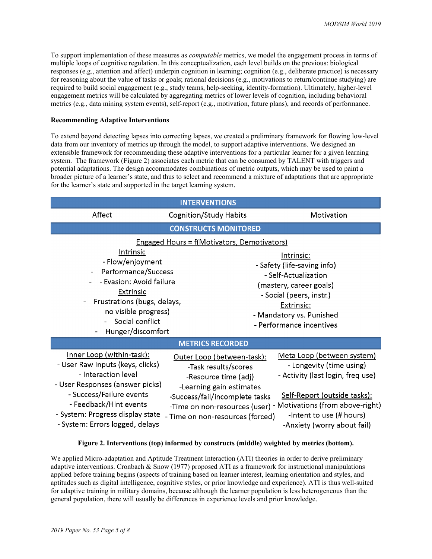To support implementation of these measures as *computable* metrics, we model the engagement process in terms of multiple loops of cognitive regulation. In this conceptualization, each level builds on the previous: biological responses (e.g., attention and affect) underpin cognition in learning; cognition (e.g., deliberate practice) is necessary for reasoning about the value of tasks or goals; rational decisions (e.g., motivations to return/continue studying) are required to build social engagement (e.g., study teams, help-seeking, identity-formation). Ultimately, higher-level engagement metrics will be calculated by aggregating metrics of lower levels of cognition, including behavioral metrics (e.g., data mining system events), self-report (e.g., motivation, future plans), and records of performance.

### **Recommending Adaptive Interventions**

To extend beyond detecting lapses into correcting lapses, we created a preliminary framework for flowing low-level data from our inventory of metrics up through the model, to support adaptive interventions. We designed an extensible framework for recommending these adaptive interventions for a particular learner for a given learning system. The framework (Figure 2) associates each metric that can be consumed by TALENT with triggers and potential adaptations. The design accommodates combinations of metric outputs, which may be used to paint a broader picture of a learner's state, and thus to select and recommend a mixture of adaptations that are appropriate for the learner's state and supported in the target learning system.

| <b>INTERVENTIONS</b>                                                                                                                                                                                                                                         |                                                                                                                                                                                                                                                |                                                                                                                                                                                                |  |  |  |  |
|--------------------------------------------------------------------------------------------------------------------------------------------------------------------------------------------------------------------------------------------------------------|------------------------------------------------------------------------------------------------------------------------------------------------------------------------------------------------------------------------------------------------|------------------------------------------------------------------------------------------------------------------------------------------------------------------------------------------------|--|--|--|--|
| Affect                                                                                                                                                                                                                                                       | Cognition/Study Habits                                                                                                                                                                                                                         | Motivation                                                                                                                                                                                     |  |  |  |  |
| <b>CONSTRUCTS MONITORED</b>                                                                                                                                                                                                                                  |                                                                                                                                                                                                                                                |                                                                                                                                                                                                |  |  |  |  |
| <b>Engaged Hours = f(Motivators, Demotivators)</b>                                                                                                                                                                                                           |                                                                                                                                                                                                                                                |                                                                                                                                                                                                |  |  |  |  |
| <b>Intrinsic</b><br>- Flow/enjoyment<br>Performance/Success<br>$\blacksquare$<br>- Evasion: Avoid failure<br><b>Extrinsic</b><br>Frustrations (bugs, delays,<br>$\qquad \qquad \blacksquare$<br>no visible progress)<br>Social conflict<br>Hunger/discomfort |                                                                                                                                                                                                                                                | Intrinsic:<br>- Safety (life-saving info)<br>- Self-Actualization<br>(mastery, career goals)<br>- Social (peers, instr.)<br>Extrinsic:<br>- Mandatory vs. Punished<br>- Performance incentives |  |  |  |  |
| <b>METRICS RECORDED</b>                                                                                                                                                                                                                                      |                                                                                                                                                                                                                                                |                                                                                                                                                                                                |  |  |  |  |
| <u>Inner Loop (within-task):</u><br>- User Raw Inputs (keys, clicks)<br>- Interaction level<br>- User Responses (answer picks)<br>- Success/Failure events<br>- Feedback/Hint events<br>- System: Progress display state<br>- System: Errors logged, delays  | Outer Loop (between-task):<br>-Task results/scores<br>-Resource time (adj)<br>-Learning gain estimates<br>-Success/fail/incomplete tasks<br>-Time on non-resources (user) - Motivations (from above-right)<br>- Time on non-resources (forced) | Meta Loop (between system)<br>- Longevity (time using)<br>- Activity (last login, freq use)<br><u>Self-Report (outside tasks):</u><br>-Intent to use (# hours)<br>-Anxiety (worry about fail)  |  |  |  |  |

#### **Figure 2. Interventions (top) informed by constructs (middle) weighted by metrics (bottom).**

We applied Micro-adaptation and Aptitude Treatment Interaction (ATI) theories in order to derive preliminary adaptive interventions. Cronbach & Snow (1977) proposed ATI as a framework for instructional manipulations applied before training begins (aspects of training based on learner interest, learning orientation and styles, and aptitudes such as digital intelligence, cognitive styles, or prior knowledge and experience). ATI is thus well-suited for adaptive training in military domains, because although the learner population is less heterogeneous than the general population, there will usually be differences in experience levels and prior knowledge.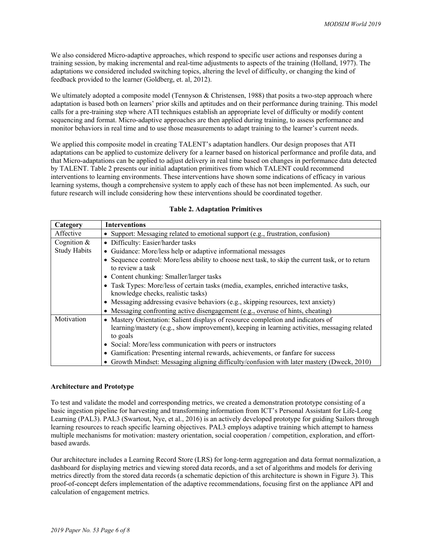We also considered Micro-adaptive approaches, which respond to specific user actions and responses during a training session, by making incremental and real-time adjustments to aspects of the training (Holland, 1977). The adaptations we considered included switching topics, altering the level of difficulty, or changing the kind of feedback provided to the learner (Goldberg, et. al, 2012).

We ultimately adopted a composite model (Tennyson & Christensen, 1988) that posits a two-step approach where adaptation is based both on learners' prior skills and aptitudes and on their performance during training. This model calls for a pre-training step where ATI techniques establish an appropriate level of difficulty or modify content sequencing and format. Micro-adaptive approaches are then applied during training, to assess performance and monitor behaviors in real time and to use those measurements to adapt training to the learner's current needs.

We applied this composite model in creating TALENT's adaptation handlers. Our design proposes that ATI adaptations can be applied to customize delivery for a learner based on historical performance and profile data, and that Micro-adaptations can be applied to adjust delivery in real time based on changes in performance data detected by TALENT. Table 2 presents our initial adaptation primitives from which TALENT could recommend interventions to learning environments. These interventions have shown some indications of efficacy in various learning systems, though a comprehensive system to apply each of these has not been implemented. As such, our future research will include considering how these interventions should be coordinated together.

| Category            | <b>Interventions</b>                                                                              |  |  |  |  |
|---------------------|---------------------------------------------------------------------------------------------------|--|--|--|--|
| Affective           | • Support: Messaging related to emotional support (e.g., frustration, confusion)                  |  |  |  |  |
| Cognition $&$       | • Difficulty: Easier/harder tasks                                                                 |  |  |  |  |
| <b>Study Habits</b> | • Guidance: More/less help or adaptive informational messages                                     |  |  |  |  |
|                     | • Sequence control: More/less ability to choose next task, to skip the current task, or to return |  |  |  |  |
|                     | to review a task                                                                                  |  |  |  |  |
|                     | • Content chunking: Smaller/larger tasks                                                          |  |  |  |  |
|                     | • Task Types: More/less of certain tasks (media, examples, enriched interactive tasks,            |  |  |  |  |
|                     | knowledge checks, realistic tasks)                                                                |  |  |  |  |
|                     | • Messaging addressing evasive behaviors (e.g., skipping resources, text anxiety)                 |  |  |  |  |
|                     | • Messaging confronting active disengagement (e.g., overuse of hints, cheating)                   |  |  |  |  |
| Motivation          | • Mastery Orientation: Salient displays of resource completion and indicators of                  |  |  |  |  |
|                     | learning/mastery (e.g., show improvement), keeping in learning activities, messaging related      |  |  |  |  |
|                     | to goals                                                                                          |  |  |  |  |
|                     | • Social: More/less communication with peers or instructors                                       |  |  |  |  |
|                     | • Gamification: Presenting internal rewards, achievements, or fanfare for success                 |  |  |  |  |
|                     | • Growth Mindset: Messaging aligning difficulty/confusion with later mastery (Dweck, 2010)        |  |  |  |  |

#### **Architecture and Prototype**

To test and validate the model and corresponding metrics, we created a demonstration prototype consisting of a basic ingestion pipeline for harvesting and transforming information from ICT's Personal Assistant for Life-Long Learning (PAL3). PAL3 (Swartout, Nye, et al., 2016) is an actively developed prototype for guiding Sailors through learning resources to reach specific learning objectives. PAL3 employs adaptive training which attempt to harness multiple mechanisms for motivation: mastery orientation, social cooperation / competition, exploration, and effortbased awards.

Our architecture includes a Learning Record Store (LRS) for long-term aggregation and data format normalization, a dashboard for displaying metrics and viewing stored data records, and a set of algorithms and models for deriving metrics directly from the stored data records (a schematic depiction of this architecture is shown in Figure 3). This proof-of-concept defers implementation of the adaptive recommendations, focusing first on the appliance API and calculation of engagement metrics.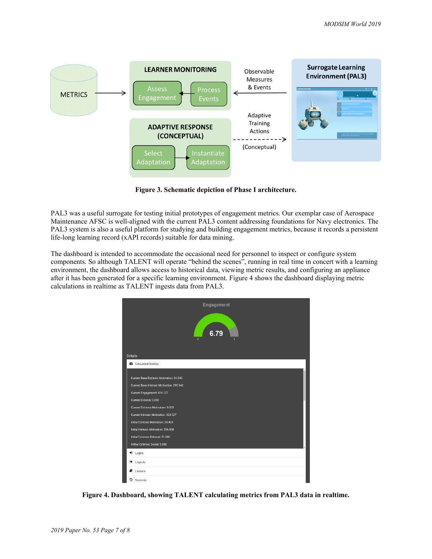

**Figure 3. Schematic depiction of Phase I architecture.** 

PAL3 was a useful surrogate for testing initial prototypes of engagement metrics. Our exemplar case of Aerospace Maintenance AFSC is well-aligned with the current PAL3 content addressing foundations for Navy electronics. The PAL3 system is also a useful platform for studying and building engagement metrics, because it records a persistent life-long learning record (xAPI records) suitable for data mining.

The dashboard is intended to accommodate the occasional need for personnel to inspect or configure system components. So although TALENT will operate "behind the scenes", running in real time in concert with a learning environment, the dashboard allows access to historical data, viewing metric results, and configuring an appliance after it has been generated for a specific learning environment. Figure 4 shows the dashboard displaying metric calculations in realtime as TALENT ingests data from PAL3.



**Figure 4. Dashboard, showing TALENT calculating metrics from PAL3 data in realtime.**